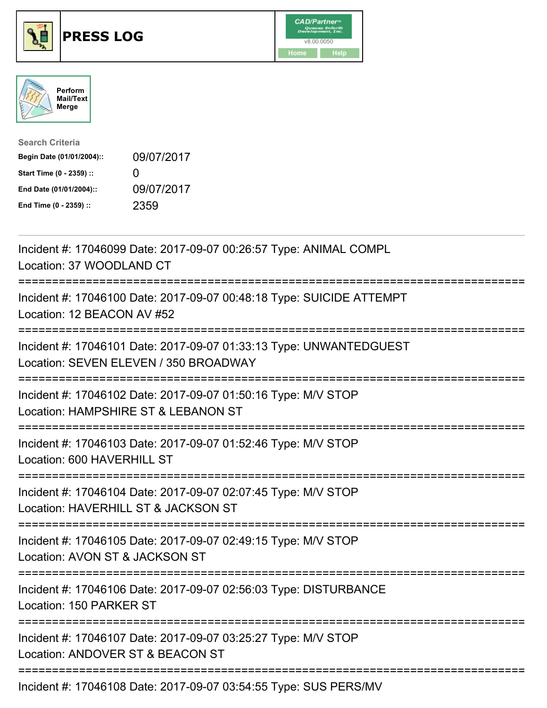





| <b>Search Criteria</b>    |                   |
|---------------------------|-------------------|
| Begin Date (01/01/2004):: | 09/07/2017        |
| Start Time (0 - 2359) ::  | $\mathbf{\Omega}$ |
| End Date (01/01/2004)::   | 09/07/2017        |
| End Time (0 - 2359) ::    | 2359              |

| Incident #: 17046099 Date: 2017-09-07 00:26:57 Type: ANIMAL COMPL<br>Location: 37 WOODLAND CT                       |
|---------------------------------------------------------------------------------------------------------------------|
| Incident #: 17046100 Date: 2017-09-07 00:48:18 Type: SUICIDE ATTEMPT<br>Location: 12 BEACON AV #52                  |
| Incident #: 17046101 Date: 2017-09-07 01:33:13 Type: UNWANTEDGUEST<br>Location: SEVEN ELEVEN / 350 BROADWAY         |
| Incident #: 17046102 Date: 2017-09-07 01:50:16 Type: M/V STOP<br>Location: HAMPSHIRE ST & LEBANON ST                |
| Incident #: 17046103 Date: 2017-09-07 01:52:46 Type: M/V STOP<br>Location: 600 HAVERHILL ST<br>============         |
| Incident #: 17046104 Date: 2017-09-07 02:07:45 Type: M/V STOP<br>Location: HAVERHILL ST & JACKSON ST                |
| Incident #: 17046105 Date: 2017-09-07 02:49:15 Type: M/V STOP<br>Location: AVON ST & JACKSON ST<br>============     |
| Incident #: 17046106 Date: 2017-09-07 02:56:03 Type: DISTURBANCE<br>Location: 150 PARKER ST<br>-------------------- |
| Incident #: 17046107 Date: 2017-09-07 03:25:27 Type: M/V STOP<br>Location: ANDOVER ST & BEACON ST                   |
| Incident #: 17046108 Date: 2017-09-07 03:54:55 Type: SUS PERS/MV                                                    |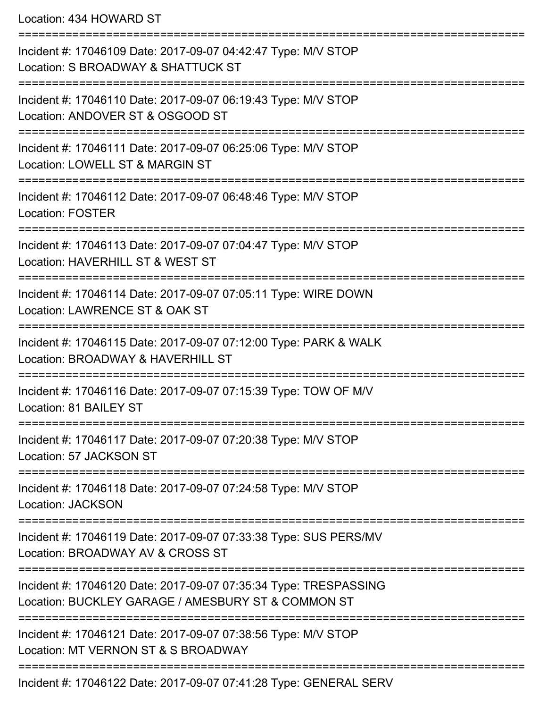Location: 434 HOWARD ST

| Incident #: 17046109 Date: 2017-09-07 04:42:47 Type: M/V STOP<br>Location: S BROADWAY & SHATTUCK ST                    |
|------------------------------------------------------------------------------------------------------------------------|
| Incident #: 17046110 Date: 2017-09-07 06:19:43 Type: M/V STOP<br>Location: ANDOVER ST & OSGOOD ST                      |
| Incident #: 17046111 Date: 2017-09-07 06:25:06 Type: M/V STOP<br>Location: LOWELL ST & MARGIN ST                       |
| Incident #: 17046112 Date: 2017-09-07 06:48:46 Type: M/V STOP<br><b>Location: FOSTER</b>                               |
| Incident #: 17046113 Date: 2017-09-07 07:04:47 Type: M/V STOP<br>Location: HAVERHILL ST & WEST ST                      |
| Incident #: 17046114 Date: 2017-09-07 07:05:11 Type: WIRE DOWN<br>Location: LAWRENCE ST & OAK ST                       |
| Incident #: 17046115 Date: 2017-09-07 07:12:00 Type: PARK & WALK<br>Location: BROADWAY & HAVERHILL ST                  |
| Incident #: 17046116 Date: 2017-09-07 07:15:39 Type: TOW OF M/V<br>Location: 81 BAILEY ST                              |
| Incident #: 17046117 Date: 2017-09-07 07:20:38 Type: M/V STOP<br>Location: 57 JACKSON ST                               |
| Incident #: 17046118 Date: 2017-09-07 07:24:58 Type: M/V STOP<br><b>Location: JACKSON</b>                              |
| Incident #: 17046119 Date: 2017-09-07 07:33:38 Type: SUS PERS/MV<br>Location: BROADWAY AV & CROSS ST                   |
| Incident #: 17046120 Date: 2017-09-07 07:35:34 Type: TRESPASSING<br>Location: BUCKLEY GARAGE / AMESBURY ST & COMMON ST |
| Incident #: 17046121 Date: 2017-09-07 07:38:56 Type: M/V STOP<br>Location: MT VERNON ST & S BROADWAY                   |
| -----------------------------------<br>Incident #: 17046122 Date: 2017-09-07 07:41:28 Type: GENERAL SERV               |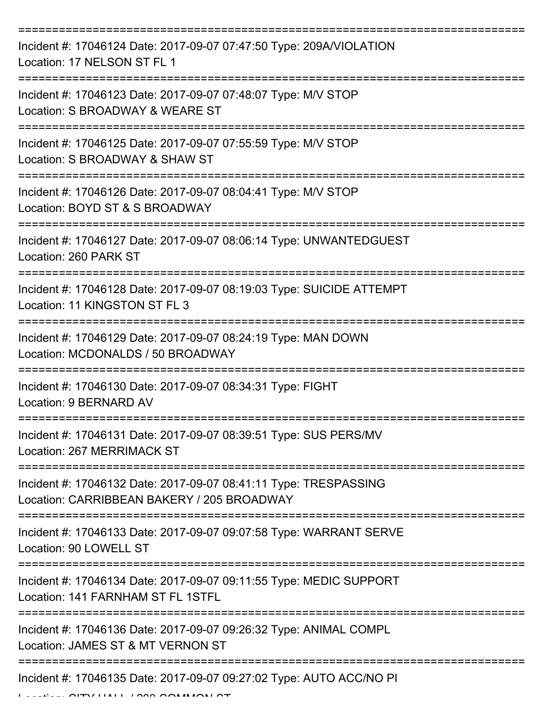| Incident #: 17046124 Date: 2017-09-07 07:47:50 Type: 209A/VIOLATION<br>Location: 17 NELSON ST FL 1             |
|----------------------------------------------------------------------------------------------------------------|
| Incident #: 17046123 Date: 2017-09-07 07:48:07 Type: M/V STOP<br>Location: S BROADWAY & WEARE ST               |
| Incident #: 17046125 Date: 2017-09-07 07:55:59 Type: M/V STOP<br>Location: S BROADWAY & SHAW ST                |
| Incident #: 17046126 Date: 2017-09-07 08:04:41 Type: M/V STOP<br>Location: BOYD ST & S BROADWAY                |
| Incident #: 17046127 Date: 2017-09-07 08:06:14 Type: UNWANTEDGUEST<br>Location: 260 PARK ST                    |
| Incident #: 17046128 Date: 2017-09-07 08:19:03 Type: SUICIDE ATTEMPT<br>Location: 11 KINGSTON ST FL 3          |
| Incident #: 17046129 Date: 2017-09-07 08:24:19 Type: MAN DOWN<br>Location: MCDONALDS / 50 BROADWAY             |
| Incident #: 17046130 Date: 2017-09-07 08:34:31 Type: FIGHT<br>Location: 9 BERNARD AV                           |
| Incident #: 17046131 Date: 2017-09-07 08:39:51 Type: SUS PERS/MV<br>Location: 267 MERRIMACK ST                 |
| Incident #: 17046132 Date: 2017-09-07 08:41:11 Type: TRESPASSING<br>Location: CARRIBBEAN BAKERY / 205 BROADWAY |
| Incident #: 17046133 Date: 2017-09-07 09:07:58 Type: WARRANT SERVE<br>Location: 90 LOWELL ST                   |
| Incident #: 17046134 Date: 2017-09-07 09:11:55 Type: MEDIC SUPPORT<br>Location: 141 FARNHAM ST FL 1STFL        |
| Incident #: 17046136 Date: 2017-09-07 09:26:32 Type: ANIMAL COMPL<br>Location: JAMES ST & MT VERNON ST         |
| Incident #: 17046135 Date: 2017-09-07 09:27:02 Type: AUTO ACC/NO PI                                            |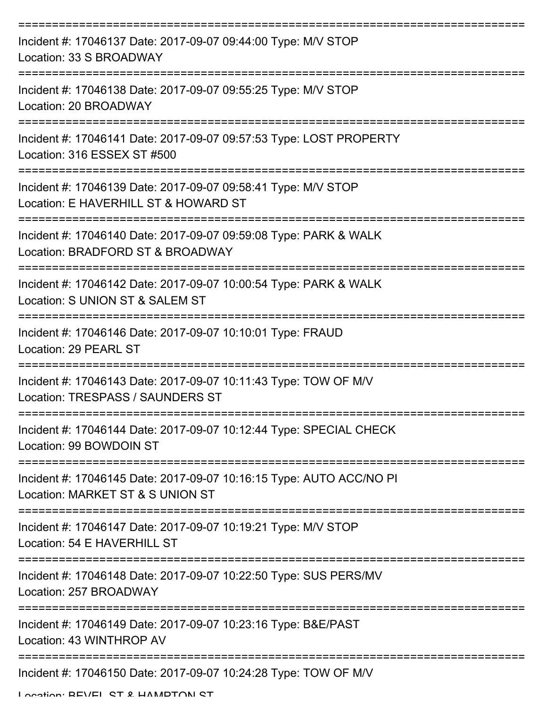| Incident #: 17046137 Date: 2017-09-07 09:44:00 Type: M/V STOP<br>Location: 33 S BROADWAY                |
|---------------------------------------------------------------------------------------------------------|
| Incident #: 17046138 Date: 2017-09-07 09:55:25 Type: M/V STOP<br>Location: 20 BROADWAY                  |
| Incident #: 17046141 Date: 2017-09-07 09:57:53 Type: LOST PROPERTY<br>Location: 316 ESSEX ST #500       |
| Incident #: 17046139 Date: 2017-09-07 09:58:41 Type: M/V STOP<br>Location: E HAVERHILL ST & HOWARD ST   |
| Incident #: 17046140 Date: 2017-09-07 09:59:08 Type: PARK & WALK<br>Location: BRADFORD ST & BROADWAY    |
| Incident #: 17046142 Date: 2017-09-07 10:00:54 Type: PARK & WALK<br>Location: S UNION ST & SALEM ST     |
| Incident #: 17046146 Date: 2017-09-07 10:10:01 Type: FRAUD<br>Location: 29 PEARL ST                     |
| Incident #: 17046143 Date: 2017-09-07 10:11:43 Type: TOW OF M/V<br>Location: TRESPASS / SAUNDERS ST     |
| Incident #: 17046144 Date: 2017-09-07 10:12:44 Type: SPECIAL CHECK<br>Location: 99 BOWDOIN ST           |
| Incident #: 17046145 Date: 2017-09-07 10:16:15 Type: AUTO ACC/NO PI<br>Location: MARKET ST & S UNION ST |
| Incident #: 17046147 Date: 2017-09-07 10:19:21 Type: M/V STOP<br>Location: 54 E HAVERHILL ST            |
| Incident #: 17046148 Date: 2017-09-07 10:22:50 Type: SUS PERS/MV<br>Location: 257 BROADWAY              |
| Incident #: 17046149 Date: 2017-09-07 10:23:16 Type: B&E/PAST<br>Location: 43 WINTHROP AV               |
| Incident #: 17046150 Date: 2017-09-07 10:24:28 Type: TOW OF M/V                                         |

Location: BEVEL ST & HAMPTON ST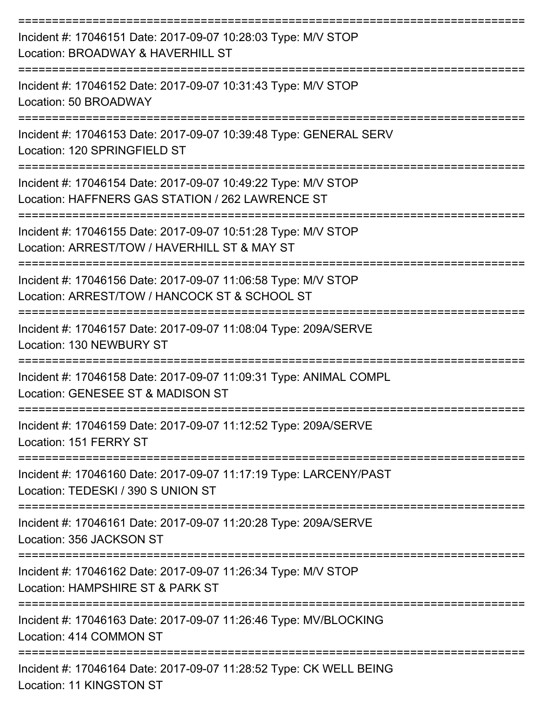| Incident #: 17046151 Date: 2017-09-07 10:28:03 Type: M/V STOP<br>Location: BROADWAY & HAVERHILL ST<br>============ |
|--------------------------------------------------------------------------------------------------------------------|
| Incident #: 17046152 Date: 2017-09-07 10:31:43 Type: M/V STOP<br>Location: 50 BROADWAY                             |
| Incident #: 17046153 Date: 2017-09-07 10:39:48 Type: GENERAL SERV<br>Location: 120 SPRINGFIELD ST                  |
| Incident #: 17046154 Date: 2017-09-07 10:49:22 Type: M/V STOP<br>Location: HAFFNERS GAS STATION / 262 LAWRENCE ST  |
| Incident #: 17046155 Date: 2017-09-07 10:51:28 Type: M/V STOP<br>Location: ARREST/TOW / HAVERHILL ST & MAY ST      |
| Incident #: 17046156 Date: 2017-09-07 11:06:58 Type: M/V STOP<br>Location: ARREST/TOW / HANCOCK ST & SCHOOL ST     |
| Incident #: 17046157 Date: 2017-09-07 11:08:04 Type: 209A/SERVE<br>Location: 130 NEWBURY ST                        |
| Incident #: 17046158 Date: 2017-09-07 11:09:31 Type: ANIMAL COMPL<br>Location: GENESEE ST & MADISON ST             |
| Incident #: 17046159 Date: 2017-09-07 11:12:52 Type: 209A/SERVE<br>Location: 151 FERRY ST                          |
| Incident #: 17046160 Date: 2017-09-07 11:17:19 Type: LARCENY/PAST<br>Location: TEDESKI / 390 S UNION ST            |
| Incident #: 17046161 Date: 2017-09-07 11:20:28 Type: 209A/SERVE<br>Location: 356 JACKSON ST                        |
| Incident #: 17046162 Date: 2017-09-07 11:26:34 Type: M/V STOP<br>Location: HAMPSHIRE ST & PARK ST                  |
| Incident #: 17046163 Date: 2017-09-07 11:26:46 Type: MV/BLOCKING<br>Location: 414 COMMON ST                        |
| Incident #: 17046164 Date: 2017-09-07 11:28:52 Type: CK WELL BEING<br>Location: 11 KINGSTON ST                     |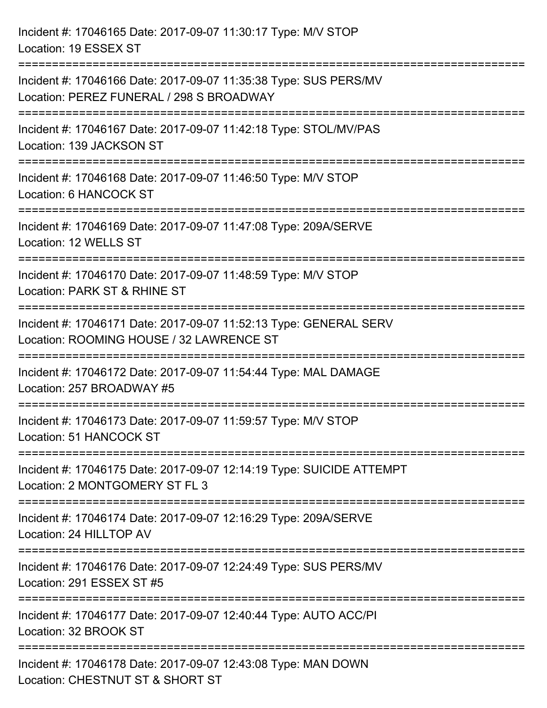| Incident #: 17046165 Date: 2017-09-07 11:30:17 Type: M/V STOP<br>Location: 19 ESSEX ST                                                                                                        |
|-----------------------------------------------------------------------------------------------------------------------------------------------------------------------------------------------|
| =====================================<br>Incident #: 17046166 Date: 2017-09-07 11:35:38 Type: SUS PERS/MV<br>Location: PEREZ FUNERAL / 298 S BROADWAY<br>:=================================== |
| Incident #: 17046167 Date: 2017-09-07 11:42:18 Type: STOL/MV/PAS<br>Location: 139 JACKSON ST                                                                                                  |
| Incident #: 17046168 Date: 2017-09-07 11:46:50 Type: M/V STOP<br>Location: 6 HANCOCK ST                                                                                                       |
| Incident #: 17046169 Date: 2017-09-07 11:47:08 Type: 209A/SERVE<br>Location: 12 WELLS ST                                                                                                      |
| Incident #: 17046170 Date: 2017-09-07 11:48:59 Type: M/V STOP<br>Location: PARK ST & RHINE ST<br>.=====================                                                                       |
| Incident #: 17046171 Date: 2017-09-07 11:52:13 Type: GENERAL SERV<br>Location: ROOMING HOUSE / 32 LAWRENCE ST                                                                                 |
| Incident #: 17046172 Date: 2017-09-07 11:54:44 Type: MAL DAMAGE<br>Location: 257 BROADWAY #5                                                                                                  |
| Incident #: 17046173 Date: 2017-09-07 11:59:57 Type: M/V STOP<br>Location: 51 HANCOCK ST                                                                                                      |
| Incident #: 17046175 Date: 2017-09-07 12:14:19 Type: SUICIDE ATTEMPT<br>Location: 2 MONTGOMERY ST FL 3                                                                                        |
| Incident #: 17046174 Date: 2017-09-07 12:16:29 Type: 209A/SERVE<br>Location: 24 HILLTOP AV                                                                                                    |
| Incident #: 17046176 Date: 2017-09-07 12:24:49 Type: SUS PERS/MV<br>Location: 291 ESSEX ST #5                                                                                                 |
| Incident #: 17046177 Date: 2017-09-07 12:40:44 Type: AUTO ACC/PI<br>Location: 32 BROOK ST                                                                                                     |
| Incident #: 17046178 Date: 2017-09-07 12:43:08 Type: MAN DOWN<br>Location: CHESTNUT ST & SHORT ST                                                                                             |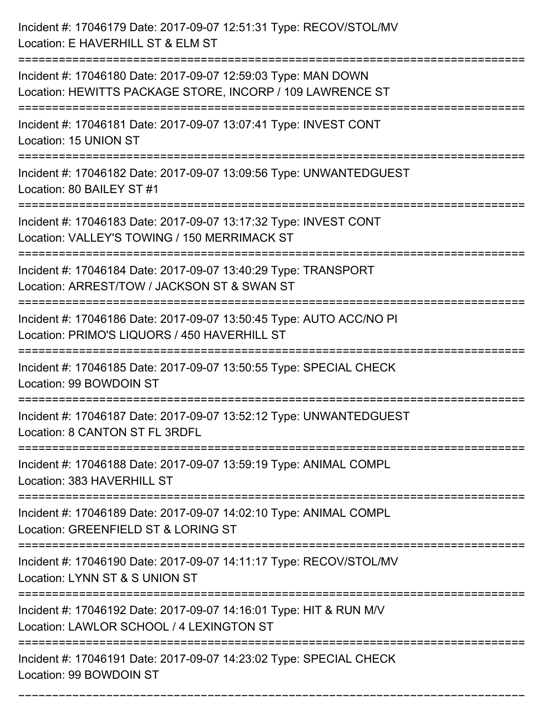| Incident #: 17046179 Date: 2017-09-07 12:51:31 Type: RECOV/STOL/MV<br>Location: E HAVERHILL ST & ELM ST                    |
|----------------------------------------------------------------------------------------------------------------------------|
| Incident #: 17046180 Date: 2017-09-07 12:59:03 Type: MAN DOWN<br>Location: HEWITTS PACKAGE STORE, INCORP / 109 LAWRENCE ST |
| Incident #: 17046181 Date: 2017-09-07 13:07:41 Type: INVEST CONT<br>Location: 15 UNION ST                                  |
| Incident #: 17046182 Date: 2017-09-07 13:09:56 Type: UNWANTEDGUEST<br>Location: 80 BAILEY ST #1                            |
| Incident #: 17046183 Date: 2017-09-07 13:17:32 Type: INVEST CONT<br>Location: VALLEY'S TOWING / 150 MERRIMACK ST           |
| Incident #: 17046184 Date: 2017-09-07 13:40:29 Type: TRANSPORT<br>Location: ARREST/TOW / JACKSON ST & SWAN ST              |
| Incident #: 17046186 Date: 2017-09-07 13:50:45 Type: AUTO ACC/NO PI<br>Location: PRIMO'S LIQUORS / 450 HAVERHILL ST        |
| Incident #: 17046185 Date: 2017-09-07 13:50:55 Type: SPECIAL CHECK<br>Location: 99 BOWDOIN ST                              |
| Incident #: 17046187 Date: 2017-09-07 13:52:12 Type: UNWANTEDGUEST<br>Location: 8 CANTON ST FL 3RDFL                       |
| Incident #: 17046188 Date: 2017-09-07 13:59:19 Type: ANIMAL COMPL<br>Location: 383 HAVERHILL ST                            |
| Incident #: 17046189 Date: 2017-09-07 14:02:10 Type: ANIMAL COMPL<br>Location: GREENFIELD ST & LORING ST                   |
| Incident #: 17046190 Date: 2017-09-07 14:11:17 Type: RECOV/STOL/MV<br>Location: LYNN ST & S UNION ST                       |
| Incident #: 17046192 Date: 2017-09-07 14:16:01 Type: HIT & RUN M/V<br>Location: LAWLOR SCHOOL / 4 LEXINGTON ST             |
| Incident #: 17046191 Date: 2017-09-07 14:23:02 Type: SPECIAL CHECK<br>Location: 99 BOWDOIN ST                              |

===========================================================================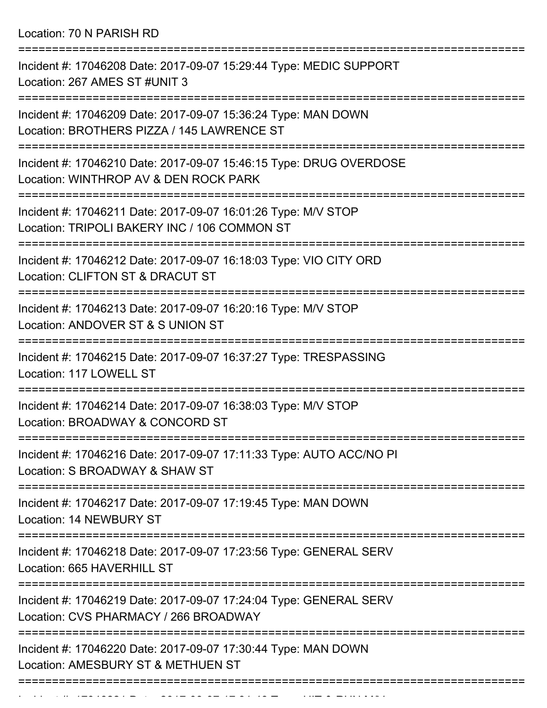Location: 70 N PARISH RD

| Incident #: 17046208 Date: 2017-09-07 15:29:44 Type: MEDIC SUPPORT<br>Location: 267 AMES ST #UNIT 3           |
|---------------------------------------------------------------------------------------------------------------|
| Incident #: 17046209 Date: 2017-09-07 15:36:24 Type: MAN DOWN<br>Location: BROTHERS PIZZA / 145 LAWRENCE ST   |
| Incident #: 17046210 Date: 2017-09-07 15:46:15 Type: DRUG OVERDOSE<br>Location: WINTHROP AV & DEN ROCK PARK   |
| Incident #: 17046211 Date: 2017-09-07 16:01:26 Type: M/V STOP<br>Location: TRIPOLI BAKERY INC / 106 COMMON ST |
| Incident #: 17046212 Date: 2017-09-07 16:18:03 Type: VIO CITY ORD<br>Location: CLIFTON ST & DRACUT ST         |
| Incident #: 17046213 Date: 2017-09-07 16:20:16 Type: M/V STOP<br>Location: ANDOVER ST & S UNION ST            |
| Incident #: 17046215 Date: 2017-09-07 16:37:27 Type: TRESPASSING<br>Location: 117 LOWELL ST                   |
| Incident #: 17046214 Date: 2017-09-07 16:38:03 Type: M/V STOP<br>Location: BROADWAY & CONCORD ST              |
| Incident #: 17046216 Date: 2017-09-07 17:11:33 Type: AUTO ACC/NO PI<br>Location: S BROADWAY & SHAW ST         |
| Incident #: 17046217 Date: 2017-09-07 17:19:45 Type: MAN DOWN<br>Location: 14 NEWBURY ST                      |
| Incident #: 17046218 Date: 2017-09-07 17:23:56 Type: GENERAL SERV<br>Location: 665 HAVERHILL ST               |
| Incident #: 17046219 Date: 2017-09-07 17:24:04 Type: GENERAL SERV<br>Location: CVS PHARMACY / 266 BROADWAY    |
| Incident #: 17046220 Date: 2017-09-07 17:30:44 Type: MAN DOWN<br>Location: AMESBURY ST & METHUEN ST           |
|                                                                                                               |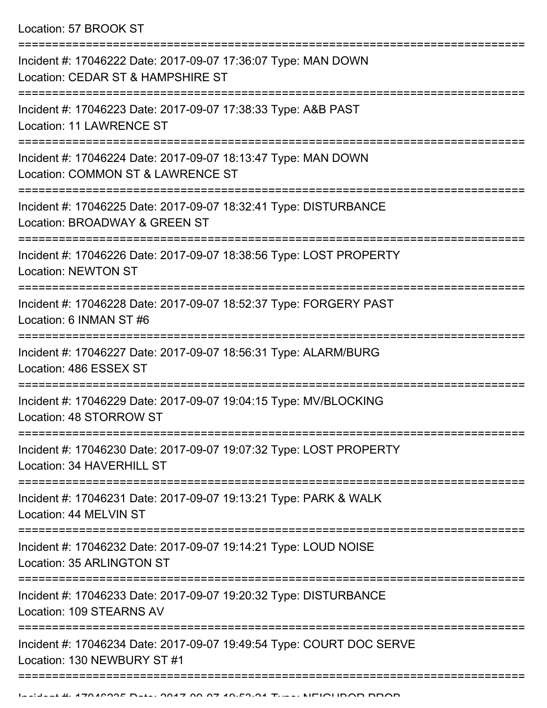Location: 57 BROOK ST

| Incident #: 17046222 Date: 2017-09-07 17:36:07 Type: MAN DOWN<br>Location: CEDAR ST & HAMPSHIRE ST              |
|-----------------------------------------------------------------------------------------------------------------|
| Incident #: 17046223 Date: 2017-09-07 17:38:33 Type: A&B PAST<br>Location: 11 LAWRENCE ST<br>------------------ |
| Incident #: 17046224 Date: 2017-09-07 18:13:47 Type: MAN DOWN<br>Location: COMMON ST & LAWRENCE ST              |
| Incident #: 17046225 Date: 2017-09-07 18:32:41 Type: DISTURBANCE<br>Location: BROADWAY & GREEN ST               |
| Incident #: 17046226 Date: 2017-09-07 18:38:56 Type: LOST PROPERTY<br><b>Location: NEWTON ST</b>                |
| Incident #: 17046228 Date: 2017-09-07 18:52:37 Type: FORGERY PAST<br>Location: 6 INMAN ST #6                    |
| Incident #: 17046227 Date: 2017-09-07 18:56:31 Type: ALARM/BURG<br>Location: 486 ESSEX ST                       |
| Incident #: 17046229 Date: 2017-09-07 19:04:15 Type: MV/BLOCKING<br>Location: 48 STORROW ST                     |
| Incident #: 17046230 Date: 2017-09-07 19:07:32 Type: LOST PROPERTY<br>Location: 34 HAVERHILL ST                 |
| Incident #: 17046231 Date: 2017-09-07 19:13:21 Type: PARK & WALK<br>Location: 44 MELVIN ST                      |
| Incident #: 17046232 Date: 2017-09-07 19:14:21 Type: LOUD NOISE<br><b>Location: 35 ARLINGTON ST</b>             |
| Incident #: 17046233 Date: 2017-09-07 19:20:32 Type: DISTURBANCE<br>Location: 109 STEARNS AV                    |
| Incident #: 17046234 Date: 2017-09-07 19:49:54 Type: COURT DOC SERVE<br>Location: 130 NEWBURY ST #1             |
|                                                                                                                 |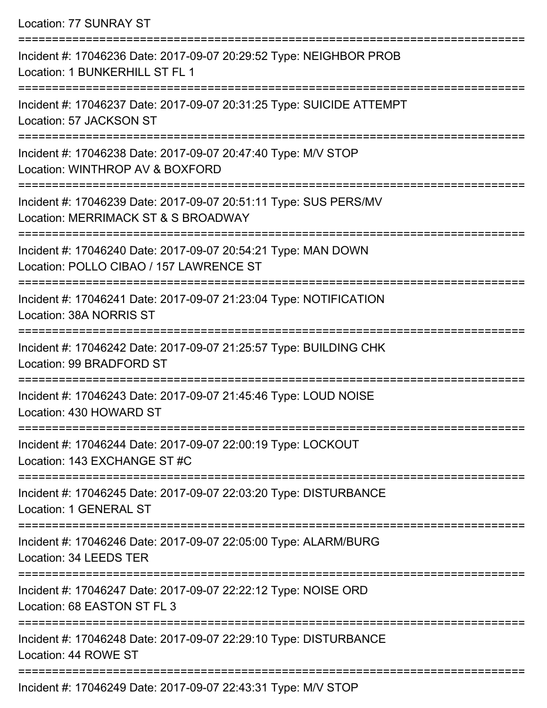Location: 77 SUNRAY ST

=========================================================================== Incident #: 17046236 Date: 2017-09-07 20:29:52 Type: NEIGHBOR PROB Location: 1 BUNKERHILL ST FL 1 =========================================================================== Incident #: 17046237 Date: 2017-09-07 20:31:25 Type: SUICIDE ATTEMPT Location: 57 JACKSON ST =========================================================================== Incident #: 17046238 Date: 2017-09-07 20:47:40 Type: M/V STOP Location: WINTHROP AV & BOXFORD =========================================================================== Incident #: 17046239 Date: 2017-09-07 20:51:11 Type: SUS PERS/MV Location: MERRIMACK ST & S BROADWAY =========================================================================== Incident #: 17046240 Date: 2017-09-07 20:54:21 Type: MAN DOWN Location: POLLO CIBAO / 157 LAWRENCE ST =========================================================================== Incident #: 17046241 Date: 2017-09-07 21:23:04 Type: NOTIFICATION Location: 38A NORRIS ST =========================================================================== Incident #: 17046242 Date: 2017-09-07 21:25:57 Type: BUILDING CHK Location: 99 BRADFORD ST =========================================================================== Incident #: 17046243 Date: 2017-09-07 21:45:46 Type: LOUD NOISE Location: 430 HOWARD ST =========================================================================== Incident #: 17046244 Date: 2017-09-07 22:00:19 Type: LOCKOUT Location: 143 EXCHANGE ST #C =========================================================================== Incident #: 17046245 Date: 2017-09-07 22:03:20 Type: DISTURBANCE Location: 1 GENERAL ST =========================================================================== Incident #: 17046246 Date: 2017-09-07 22:05:00 Type: ALARM/BURG Location: 34 LEEDS TER =========================================================================== Incident #: 17046247 Date: 2017-09-07 22:22:12 Type: NOISE ORD Location: 68 EASTON ST FL 3 =========================================================================== Incident #: 17046248 Date: 2017-09-07 22:29:10 Type: DISTURBANCE Location: 44 ROWE ST ===========================================================================

Incident #: 17046249 Date: 2017-09-07 22:43:31 Type: M/V STOP